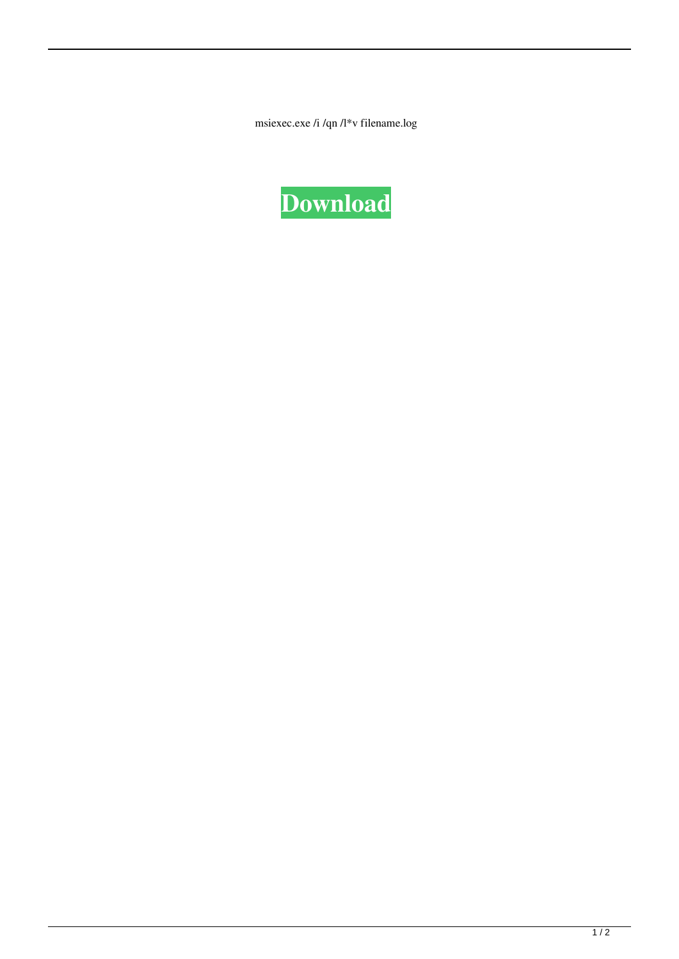msiexec.exe /i /qn /l\*v filename.log